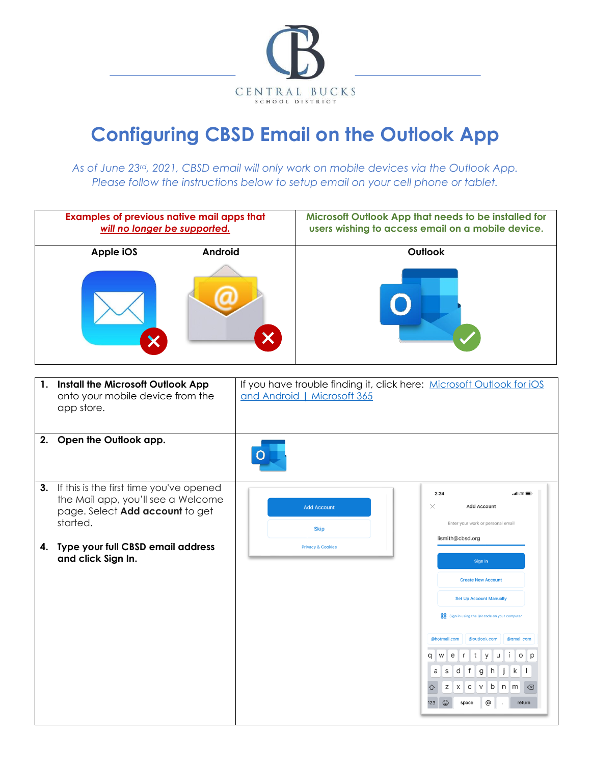

## **Configuring CBSD Email on the Outlook App**

*As of June 23rd, 2021, CBSD email will only work on mobile devices via the Outlook App. Please follow the instructions below to setup email on your cell phone or tablet.*